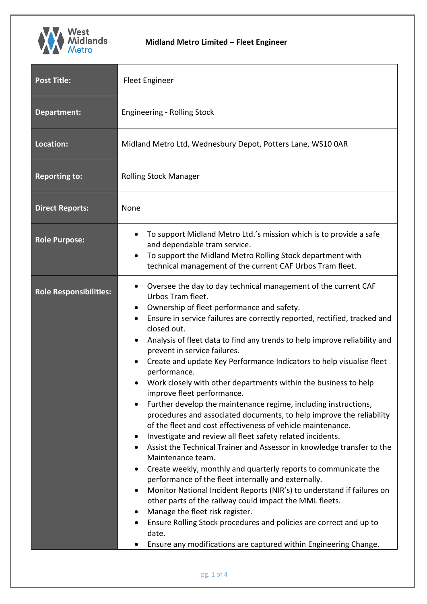

| <b>Post Title:</b>            | <b>Fleet Engineer</b>                                                                                                                                                                                                                                                                                                                                                                                                                                                                                                                                                                                                                                                                                                                                                                                                                                                                                                                                                                                                                                                                                                                                                                                                                                                                                                                                                                                                                                                                                            |  |  |
|-------------------------------|------------------------------------------------------------------------------------------------------------------------------------------------------------------------------------------------------------------------------------------------------------------------------------------------------------------------------------------------------------------------------------------------------------------------------------------------------------------------------------------------------------------------------------------------------------------------------------------------------------------------------------------------------------------------------------------------------------------------------------------------------------------------------------------------------------------------------------------------------------------------------------------------------------------------------------------------------------------------------------------------------------------------------------------------------------------------------------------------------------------------------------------------------------------------------------------------------------------------------------------------------------------------------------------------------------------------------------------------------------------------------------------------------------------------------------------------------------------------------------------------------------------|--|--|
| <b>Department:</b>            | <b>Engineering - Rolling Stock</b>                                                                                                                                                                                                                                                                                                                                                                                                                                                                                                                                                                                                                                                                                                                                                                                                                                                                                                                                                                                                                                                                                                                                                                                                                                                                                                                                                                                                                                                                               |  |  |
| Location:                     | Midland Metro Ltd, Wednesbury Depot, Potters Lane, WS10 0AR                                                                                                                                                                                                                                                                                                                                                                                                                                                                                                                                                                                                                                                                                                                                                                                                                                                                                                                                                                                                                                                                                                                                                                                                                                                                                                                                                                                                                                                      |  |  |
| <b>Reporting to:</b>          | <b>Rolling Stock Manager</b>                                                                                                                                                                                                                                                                                                                                                                                                                                                                                                                                                                                                                                                                                                                                                                                                                                                                                                                                                                                                                                                                                                                                                                                                                                                                                                                                                                                                                                                                                     |  |  |
| <b>Direct Reports:</b>        | None                                                                                                                                                                                                                                                                                                                                                                                                                                                                                                                                                                                                                                                                                                                                                                                                                                                                                                                                                                                                                                                                                                                                                                                                                                                                                                                                                                                                                                                                                                             |  |  |
| <b>Role Purpose:</b>          | To support Midland Metro Ltd.'s mission which is to provide a safe<br>$\bullet$<br>and dependable tram service.<br>To support the Midland Metro Rolling Stock department with<br>$\bullet$<br>technical management of the current CAF Urbos Tram fleet.                                                                                                                                                                                                                                                                                                                                                                                                                                                                                                                                                                                                                                                                                                                                                                                                                                                                                                                                                                                                                                                                                                                                                                                                                                                          |  |  |
| <b>Role Responsibilities:</b> | Oversee the day to day technical management of the current CAF<br>$\bullet$<br>Urbos Tram fleet.<br>Ownership of fleet performance and safety.<br>$\bullet$<br>Ensure in service failures are correctly reported, rectified, tracked and<br>$\bullet$<br>closed out.<br>Analysis of fleet data to find any trends to help improve reliability and<br>$\bullet$<br>prevent in service failures.<br>Create and update Key Performance Indicators to help visualise fleet<br>$\bullet$<br>performance.<br>Work closely with other departments within the business to help<br>improve fleet performance.<br>Further develop the maintenance regime, including instructions,<br>$\bullet$<br>procedures and associated documents, to help improve the reliability<br>of the fleet and cost effectiveness of vehicle maintenance.<br>Investigate and review all fleet safety related incidents.<br>$\bullet$<br>Assist the Technical Trainer and Assessor in knowledge transfer to the<br>$\bullet$<br>Maintenance team.<br>Create weekly, monthly and quarterly reports to communicate the<br>$\bullet$<br>performance of the fleet internally and externally.<br>Monitor National Incident Reports (NIR's) to understand if failures on<br>$\bullet$<br>other parts of the railway could impact the MML fleets.<br>Manage the fleet risk register.<br>٠<br>Ensure Rolling Stock procedures and policies are correct and up to<br>٠<br>date.<br>Ensure any modifications are captured within Engineering Change.<br>٠ |  |  |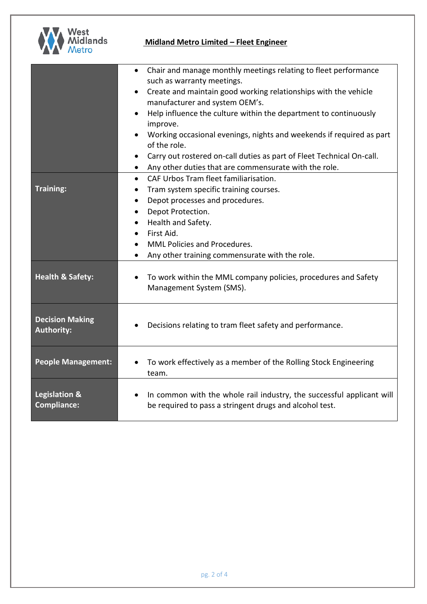

| Chair and manage monthly meetings relating to fleet performance<br>such as warranty meetings.                                    |
|----------------------------------------------------------------------------------------------------------------------------------|
| Create and maintain good working relationships with the vehicle<br>manufacturer and system OEM's.                                |
| Help influence the culture within the department to continuously<br>improve.                                                     |
| Working occasional evenings, nights and weekends if required as part<br>of the role.                                             |
| Carry out rostered on-call duties as part of Fleet Technical On-call.                                                            |
| Any other duties that are commensurate with the role.<br>$\bullet$                                                               |
| CAF Urbos Tram fleet familiarisation.<br>$\bullet$                                                                               |
| Tram system specific training courses.<br>٠                                                                                      |
| Depot processes and procedures.<br>$\bullet$                                                                                     |
| Depot Protection.                                                                                                                |
| Health and Safety.<br>$\bullet$                                                                                                  |
| First Aid.<br>$\bullet$                                                                                                          |
| <b>MML Policies and Procedures.</b>                                                                                              |
| Any other training commensurate with the role.<br>$\bullet$                                                                      |
| To work within the MML company policies, procedures and Safety<br>Management System (SMS).                                       |
| Decisions relating to tram fleet safety and performance.                                                                         |
| To work effectively as a member of the Rolling Stock Engineering<br>team.                                                        |
| In common with the whole rail industry, the successful applicant will<br>be required to pass a stringent drugs and alcohol test. |
|                                                                                                                                  |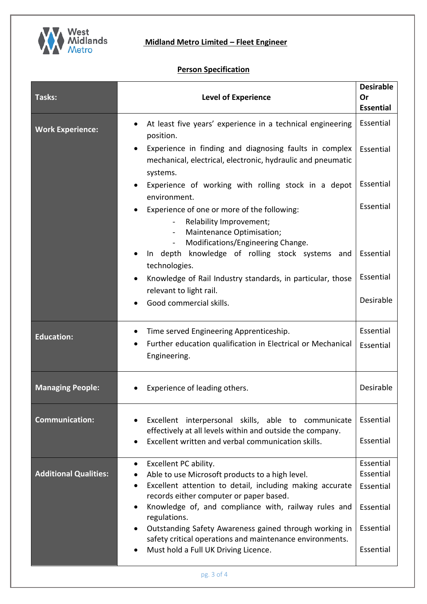

# **Person Specification**

| Tasks:                       | <b>Level of Experience</b>                                                                                                                     | <b>Desirable</b><br>Or<br><b>Essential</b> |
|------------------------------|------------------------------------------------------------------------------------------------------------------------------------------------|--------------------------------------------|
| <b>Work Experience:</b>      | At least five years' experience in a technical engineering<br>position.                                                                        | Essential                                  |
|                              | Experience in finding and diagnosing faults in complex<br>$\bullet$<br>mechanical, electrical, electronic, hydraulic and pneumatic<br>systems. | Essential                                  |
|                              | Experience of working with rolling stock in a depot<br>$\bullet$<br>environment.                                                               | Essential                                  |
|                              | Experience of one or more of the following:<br>Relability Improvement;                                                                         | Essential                                  |
|                              | Maintenance Optimisation;<br>$\blacksquare$<br>Modifications/Engineering Change.                                                               |                                            |
|                              | In depth knowledge of rolling stock systems and<br>technologies.                                                                               | Essential                                  |
|                              | Knowledge of Rail Industry standards, in particular, those<br>relevant to light rail.                                                          | Essential                                  |
|                              | Good commercial skills.                                                                                                                        | Desirable                                  |
| <b>Education:</b>            | Time served Engineering Apprenticeship.<br>$\bullet$                                                                                           | Essential                                  |
|                              | Further education qualification in Electrical or Mechanical<br>Engineering.                                                                    | Essential                                  |
| <b>Managing People:</b>      | Experience of leading others.                                                                                                                  | Desirable                                  |
| <b>Communication:</b>        | Excellent interpersonal skills, able to communicate<br>effectively at all levels within and outside the company.                               | Essential                                  |
|                              | Excellent written and verbal communication skills.                                                                                             | Essential                                  |
| <b>Additional Qualities:</b> | Excellent PC ability.<br>$\bullet$<br>Able to use Microsoft products to a high level.<br>$\bullet$                                             | Essential<br>Essential                     |
|                              | Excellent attention to detail, including making accurate<br>$\bullet$<br>records either computer or paper based.                               | Essential                                  |
|                              | Knowledge of, and compliance with, railway rules and<br>$\bullet$<br>regulations.                                                              | Essential                                  |
|                              | Outstanding Safety Awareness gained through working in<br>$\bullet$<br>safety critical operations and maintenance environments.                | Essential                                  |
|                              | Must hold a Full UK Driving Licence.<br>٠                                                                                                      | Essential                                  |
|                              | $n\sigma$ 3 of $\Lambda$                                                                                                                       |                                            |